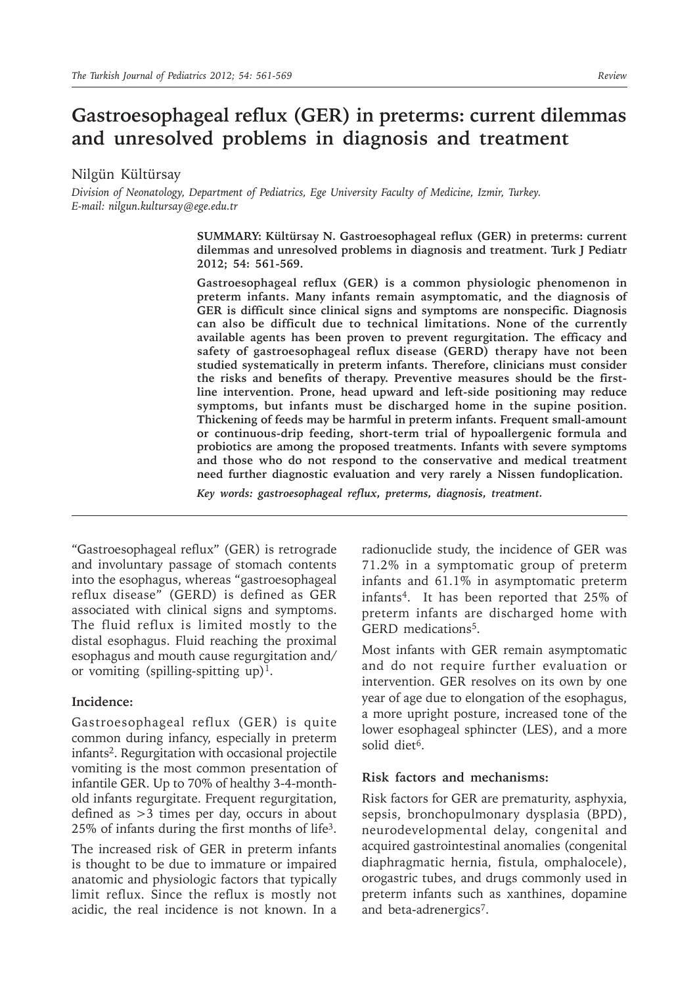# **Gastroesophageal reflux (GER) in preterms: current dilemmas and unresolved problems in diagnosis and treatment**

Nilgün Kültürsay

*Division of Neonatology, Department of Pediatrics, Ege University Faculty of Medicine, Izmir, Turkey. E-mail: nilgun.kultursay@ege.edu.tr*

> **SUMMARY: Kültürsay N. Gastroesophageal reflux (GER) in preterms: current dilemmas and unresolved problems in diagnosis and treatment. Turk J Pediatr 2012; 54: 561-569.**

> **Gastroesophageal reflux (GER) is a common physiologic phenomenon in preterm infants. Many infants remain asymptomatic, and the diagnosis of GER is difficult since clinical signs and symptoms are nonspecific. Diagnosis can also be difficult due to technical limitations. None of the currently available agents has been proven to prevent regurgitation. The efficacy and safety of gastroesophageal reflux disease (GERD) therapy have not been studied systematically in preterm infants. Therefore, clinicians must consider the risks and benefits of therapy. Preventive measures should be the firstline intervention. Prone, head upward and left-side positioning may reduce symptoms, but infants must be discharged home in the supine position. Thickening of feeds may be harmful in preterm infants. Frequent small-amount or continuous-drip feeding, short-term trial of hypoallergenic formula and probiotics are among the proposed treatments. Infants with severe symptoms and those who do not respond to the conservative and medical treatment need further diagnostic evaluation and very rarely a Nissen fundoplication.**

*Key words: gastroesophageal reflux, preterms, diagnosis, treatment.*

"Gastroesophageal reflux" (GER) is retrograde and involuntary passage of stomach contents into the esophagus, whereas "gastroesophageal reflux disease" (GERD) is defined as GER associated with clinical signs and symptoms. The fluid reflux is limited mostly to the distal esophagus. Fluid reaching the proximal esophagus and mouth cause regurgitation and/ or vomiting (spilling-spitting up)<sup>1</sup>.

#### **Incidence:**

Gastroesophageal reflux (GER) is quite common during infancy, especially in preterm infants<sup>2</sup>. Regurgitation with occasional projectile vomiting is the most common presentation of infantile GER. Up to 70% of healthy 3-4-monthold infants regurgitate. Frequent regurgitation, defined as >3 times per day, occurs in about  $25\%$  of infants during the first months of life<sup>3</sup>.

The increased risk of GER in preterm infants is thought to be due to immature or impaired anatomic and physiologic factors that typically limit reflux. Since the reflux is mostly not acidic, the real incidence is not known. In a radionuclide study, the incidence of GER was 71.2% in a symptomatic group of preterm infants and 61.1% in asymptomatic preterm infants4. It has been reported that 25% of preterm infants are discharged home with GERD medications<sup>5</sup>.

Most infants with GER remain asymptomatic and do not require further evaluation or intervention. GER resolves on its own by one year of age due to elongation of the esophagus, a more upright posture, increased tone of the lower esophageal sphincter (LES), and a more solid diet<sup>6</sup>.

#### **Risk factors and mechanisms:**

Risk factors for GER are prematurity, asphyxia, sepsis, bronchopulmonary dysplasia (BPD), neurodevelopmental delay, congenital and acquired gastrointestinal anomalies (congenital diaphragmatic hernia, fistula, omphalocele), orogastric tubes, and drugs commonly used in preterm infants such as xanthines, dopamine and beta-adrenergics<sup>7</sup>.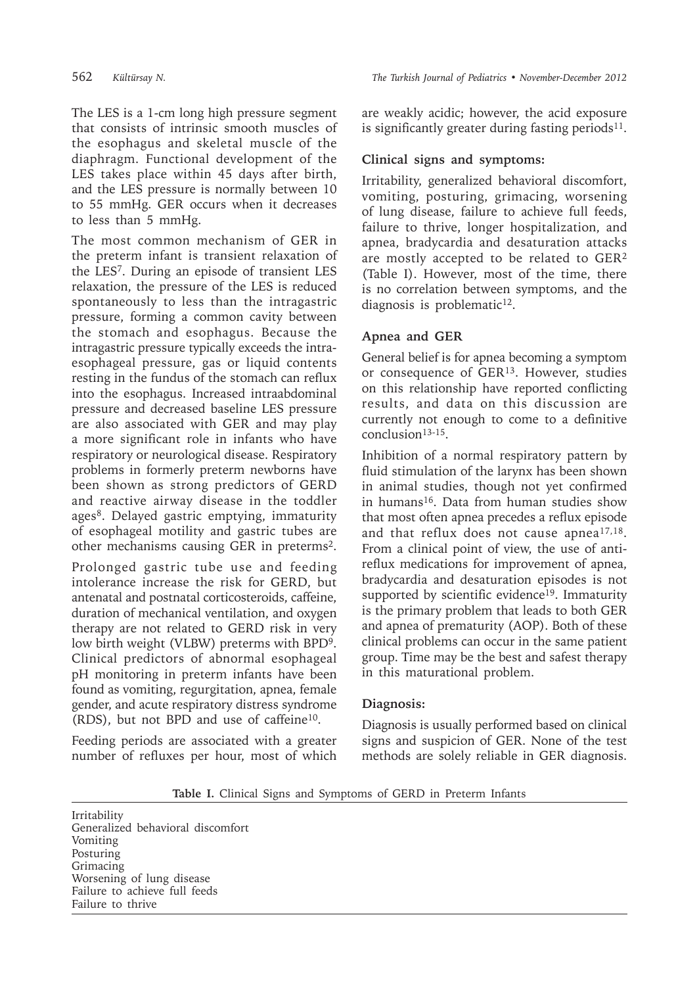The LES is a 1-cm long high pressure segment that consists of intrinsic smooth muscles of the esophagus and skeletal muscle of the diaphragm. Functional development of the LES takes place within 45 days after birth, and the LES pressure is normally between 10 to 55 mmHg. GER occurs when it decreases to less than 5 mmHg.

The most common mechanism of GER in the preterm infant is transient relaxation of the LES7. During an episode of transient LES relaxation, the pressure of the LES is reduced spontaneously to less than the intragastric pressure, forming a common cavity between the stomach and esophagus. Because the intragastric pressure typically exceeds the intraesophageal pressure, gas or liquid contents resting in the fundus of the stomach can reflux into the esophagus. Increased intraabdominal pressure and decreased baseline LES pressure are also associated with GER and may play a more significant role in infants who have respiratory or neurological disease. Respiratory problems in formerly preterm newborns have been shown as strong predictors of GERD and reactive airway disease in the toddler ages<sup>8</sup>. Delayed gastric emptying, immaturity of esophageal motility and gastric tubes are other mechanisms causing GER in preterms2.

Prolonged gastric tube use and feeding intolerance increase the risk for GERD, but antenatal and postnatal corticosteroids, caffeine, duration of mechanical ventilation, and oxygen therapy are not related to GERD risk in very low birth weight (VLBW) preterms with BPD9. Clinical predictors of abnormal esophageal pH monitoring in preterm infants have been found as vomiting, regurgitation, apnea, female gender, and acute respiratory distress syndrome (RDS), but not BPD and use of caffeine10.

Feeding periods are associated with a greater number of refluxes per hour, most of which are weakly acidic; however, the acid exposure is significantly greater during fasting periods<sup>11</sup>.

### **Clinical signs and symptoms:**

Irritability, generalized behavioral discomfort, vomiting, posturing, grimacing, worsening of lung disease, failure to achieve full feeds, failure to thrive, longer hospitalization, and apnea, bradycardia and desaturation attacks are mostly accepted to be related to GER2 (Table I). However, most of the time, there is no correlation between symptoms, and the diagnosis is problematic<sup>12</sup>.

### **Apnea and GER**

General belief is for apnea becoming a symptom or consequence of GER13. However, studies on this relationship have reported conflicting results, and data on this discussion are currently not enough to come to a definitive conclusion<sup>13-15</sup>.

Inhibition of a normal respiratory pattern by fluid stimulation of the larynx has been shown in animal studies, though not yet confirmed in humans<sup>16</sup>. Data from human studies show that most often apnea precedes a reflux episode and that reflux does not cause apnea17,18. From a clinical point of view, the use of antireflux medications for improvement of apnea, bradycardia and desaturation episodes is not supported by scientific evidence<sup>19</sup>. Immaturity is the primary problem that leads to both GER and apnea of prematurity (AOP). Both of these clinical problems can occur in the same patient group. Time may be the best and safest therapy in this maturational problem.

### **Diagnosis:**

Diagnosis is usually performed based on clinical signs and suspicion of GER. None of the test methods are solely reliable in GER diagnosis.

**Table I.** Clinical Signs and Symptoms of GERD in Preterm Infants

Irritability Generalized behavioral discomfort Vomiting Posturing Grimacing Worsening of lung disease Failure to achieve full feeds Failure to thrive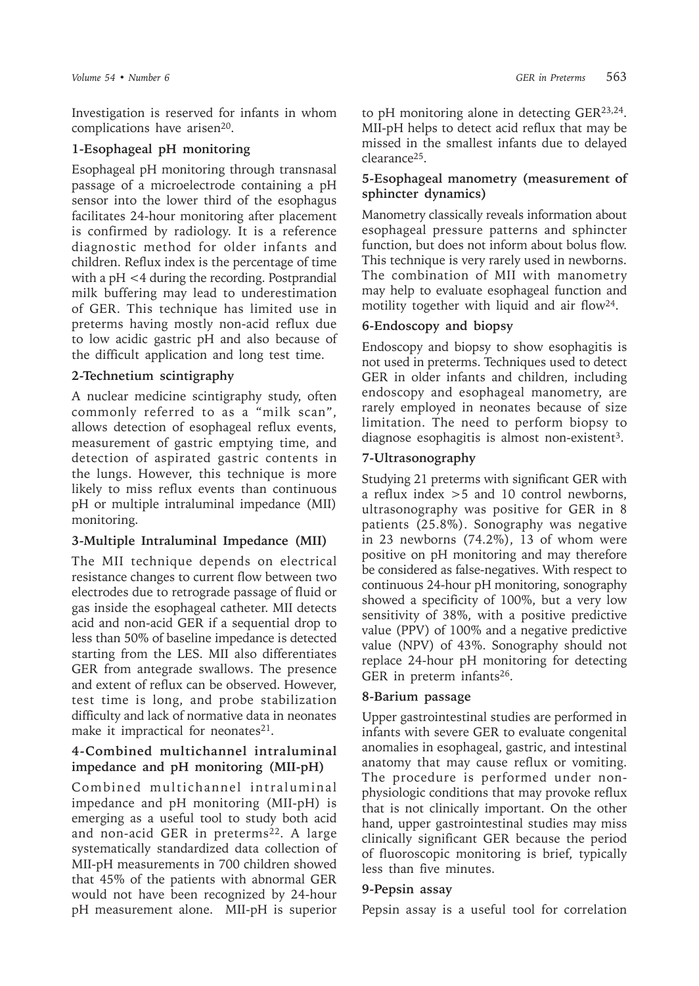Investigation is reserved for infants in whom complications have arisen<sup>20</sup>.

# **1-Esophageal pH monitoring**

Esophageal pH monitoring through transnasal passage of a microelectrode containing a pH sensor into the lower third of the esophagus facilitates 24-hour monitoring after placement is confirmed by radiology. It is a reference diagnostic method for older infants and children. Reflux index is the percentage of time with a pH <4 during the recording. Postprandial milk buffering may lead to underestimation of GER. This technique has limited use in preterms having mostly non-acid reflux due to low acidic gastric pH and also because of the difficult application and long test time.

# **2-Technetium scintigraphy**

A nuclear medicine scintigraphy study, often commonly referred to as a "milk scan", allows detection of esophageal reflux events, measurement of gastric emptying time, and detection of aspirated gastric contents in the lungs. However, this technique is more likely to miss reflux events than continuous pH or multiple intraluminal impedance (MII) monitoring.

# **3-Multiple Intraluminal Impedance (MII)**

The MII technique depends on electrical resistance changes to current flow between two electrodes due to retrograde passage of fluid or gas inside the esophageal catheter. MII detects acid and non-acid GER if a sequential drop to less than 50% of baseline impedance is detected starting from the LES. MII also differentiates GER from antegrade swallows. The presence and extent of reflux can be observed. However, test time is long, and probe stabilization difficulty and lack of normative data in neonates make it impractical for neonates $21$ .

## **4-Combined multichannel intraluminal impedance and pH monitoring (MII-pH)**

Combined multichannel intraluminal impedance and pH monitoring (MII-pH) is emerging as a useful tool to study both acid and non-acid GER in preterms<sup>22</sup>. A large systematically standardized data collection of MII-pH measurements in 700 children showed that 45% of the patients with abnormal GER would not have been recognized by 24-hour pH measurement alone. MII-pH is superior

to pH monitoring alone in detecting GER23,24. MII-pH helps to detect acid reflux that may be missed in the smallest infants due to delayed clearance25.

### **5-Esophageal manometry (measurement of sphincter dynamics)**

Manometry classically reveals information about esophageal pressure patterns and sphincter function, but does not inform about bolus flow. This technique is very rarely used in newborns. The combination of MII with manometry may help to evaluate esophageal function and motility together with liquid and air flow<sup>24</sup>.

# **6-Endoscopy and biopsy**

Endoscopy and biopsy to show esophagitis is not used in preterms. Techniques used to detect GER in older infants and children, including endoscopy and esophageal manometry, are rarely employed in neonates because of size limitation. The need to perform biopsy to diagnose esophagitis is almost non-existent<sup>3</sup>.

### **7-Ultrasonography**

Studying 21 preterms with significant GER with a reflux index >5 and 10 control newborns, ultrasonography was positive for GER in 8 patients (25.8%). Sonography was negative in 23 newborns (74.2%), 13 of whom were positive on pH monitoring and may therefore be considered as false-negatives. With respect to continuous 24-hour pH monitoring, sonography showed a specificity of 100%, but a very low sensitivity of 38%, with a positive predictive value (PPV) of 100% and a negative predictive value (NPV) of 43%. Sonography should not replace 24-hour pH monitoring for detecting GER in preterm infants<sup>26</sup>.

### **8-Barium passage**

Upper gastrointestinal studies are performed in infants with severe GER to evaluate congenital anomalies in esophageal, gastric, and intestinal anatomy that may cause reflux or vomiting. The procedure is performed under nonphysiologic conditions that may provoke reflux that is not clinically important. On the other hand, upper gastrointestinal studies may miss clinically significant GER because the period of fluoroscopic monitoring is brief, typically less than five minutes.

#### **9-Pepsin assay**

Pepsin assay is a useful tool for correlation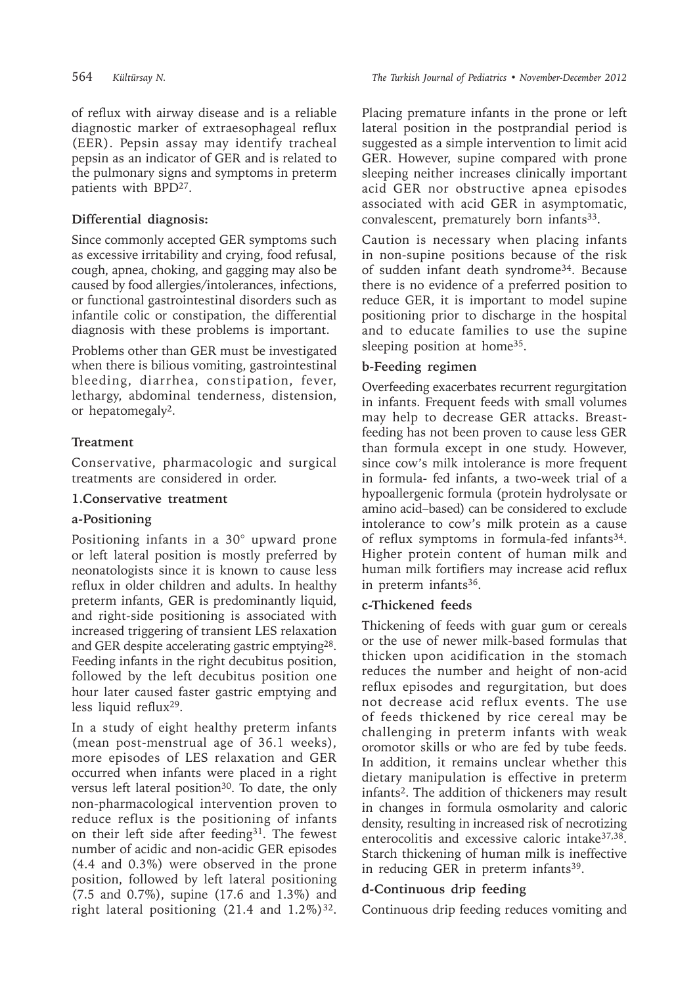of reflux with airway disease and is a reliable diagnostic marker of extraesophageal reflux (EER). Pepsin assay may identify tracheal pepsin as an indicator of GER and is related to the pulmonary signs and symptoms in preterm patients with BPD27.

### **Differential diagnosis:**

Since commonly accepted GER symptoms such as excessive irritability and crying, food refusal, cough, apnea, choking, and gagging may also be caused by food allergies/intolerances, infections, or functional gastrointestinal disorders such as infantile colic or constipation, the differential diagnosis with these problems is important.

Problems other than GER must be investigated when there is bilious vomiting, gastrointestinal bleeding, diarrhea, constipation, fever, lethargy, abdominal tenderness, distension, or hepatomegaly<sup>2</sup>.

## **Treatment**

Conservative, pharmacologic and surgical treatments are considered in order.

### **1.Conservative treatment**

### **a-Positioning**

Positioning infants in a 30° upward prone or left lateral position is mostly preferred by neonatologists since it is known to cause less reflux in older children and adults. In healthy preterm infants, GER is predominantly liquid, and right-side positioning is associated with increased triggering of transient LES relaxation and GER despite accelerating gastric emptying28. Feeding infants in the right decubitus position, followed by the left decubitus position one hour later caused faster gastric emptying and less liquid reflux<sup>29</sup>.

In a study of eight healthy preterm infants (mean post-menstrual age of 36.1 weeks), more episodes of LES relaxation and GER occurred when infants were placed in a right versus left lateral position<sup>30</sup>. To date, the only non-pharmacological intervention proven to reduce reflux is the positioning of infants on their left side after feeding<sup>31</sup>. The fewest number of acidic and non-acidic GER episodes (4.4 and 0.3%) were observed in the prone position, followed by left lateral positioning (7.5 and 0.7%), supine (17.6 and 1.3%) and right lateral positioning  $(21.4 \text{ and } 1.2\%)^{32}$ .

Placing premature infants in the prone or left lateral position in the postprandial period is suggested as a simple intervention to limit acid GER. However, supine compared with prone sleeping neither increases clinically important acid GER nor obstructive apnea episodes associated with acid GER in asymptomatic, convalescent, prematurely born infants<sup>33</sup>.

Caution is necessary when placing infants in non-supine positions because of the risk of sudden infant death syndrome34. Because there is no evidence of a preferred position to reduce GER, it is important to model supine positioning prior to discharge in the hospital and to educate families to use the supine sleeping position at home<sup>35</sup>.

### **b-Feeding regimen**

Overfeeding exacerbates recurrent regurgitation in infants. Frequent feeds with small volumes may help to decrease GER attacks. Breastfeeding has not been proven to cause less GER than formula except in one study. However, since cow's milk intolerance is more frequent in formula- fed infants, a two-week trial of a hypoallergenic formula (protein hydrolysate or amino acid–based) can be considered to exclude intolerance to cow's milk protein as a cause of reflux symptoms in formula-fed infants<sup>34</sup>. Higher protein content of human milk and human milk fortifiers may increase acid reflux in preterm infants $36$ .

### **c-Thickened feeds**

Thickening of feeds with guar gum or cereals or the use of newer milk-based formulas that thicken upon acidification in the stomach reduces the number and height of non-acid reflux episodes and regurgitation, but does not decrease acid reflux events. The use of feeds thickened by rice cereal may be challenging in preterm infants with weak oromotor skills or who are fed by tube feeds. In addition, it remains unclear whether this dietary manipulation is effective in preterm infants2. The addition of thickeners may result in changes in formula osmolarity and caloric density, resulting in increased risk of necrotizing enterocolitis and excessive caloric intake37,38. Starch thickening of human milk is ineffective in reducing GER in preterm infants<sup>39</sup>.

### **d-Continuous drip feeding**

Continuous drip feeding reduces vomiting and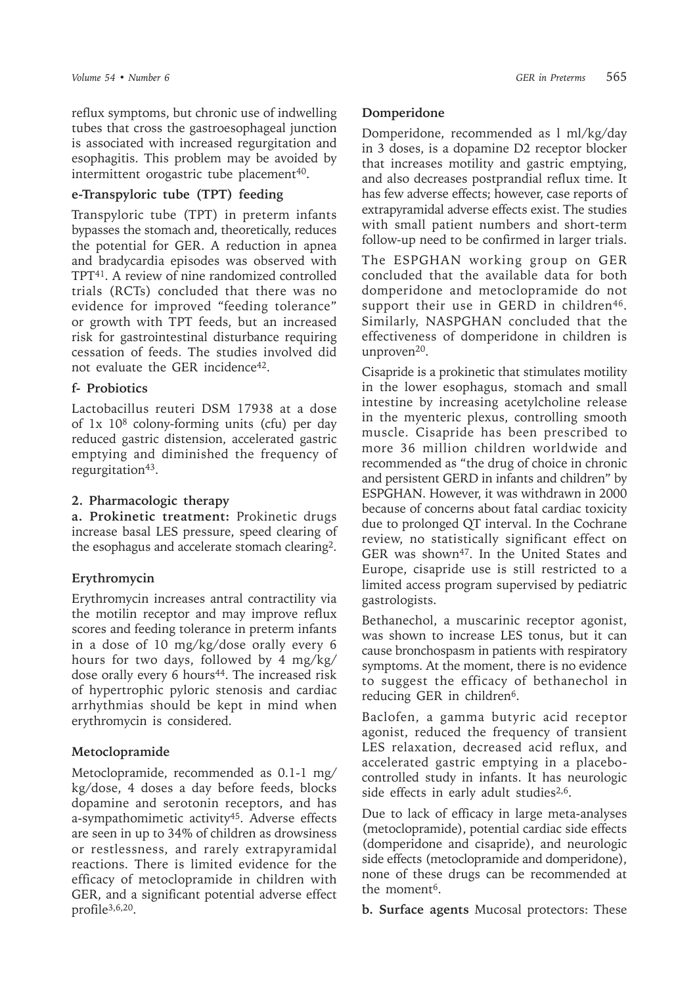*Volume 54 • Number 6 GER in Preterms*  565

reflux symptoms, but chronic use of indwelling tubes that cross the gastroesophageal junction is associated with increased regurgitation and esophagitis. This problem may be avoided by intermittent orogastric tube placement<sup>40</sup>.

### **e-Transpyloric tube (TPT) feeding**

Transpyloric tube (TPT) in preterm infants bypasses the stomach and, theoretically, reduces the potential for GER. A reduction in apnea and bradycardia episodes was observed with TPT41. A review of nine randomized controlled trials (RCTs) concluded that there was no evidence for improved "feeding tolerance" or growth with TPT feeds, but an increased risk for gastrointestinal disturbance requiring cessation of feeds. The studies involved did not evaluate the GER incidence<sup>42</sup>.

## **f- Probiotics**

Lactobacillus reuteri DSM 17938 at a dose of 1x 108 colony-forming units (cfu) per day reduced gastric distension, accelerated gastric emptying and diminished the frequency of regurgitation<sup>43</sup>.

### **2. Pharmacologic therapy**

**a. Prokinetic treatment:** Prokinetic drugs increase basal LES pressure, speed clearing of the esophagus and accelerate stomach clearing2.

## **Erythromycin**

Erythromycin increases antral contractility via the motilin receptor and may improve reflux scores and feeding tolerance in preterm infants in a dose of 10 mg/kg/dose orally every 6 hours for two days, followed by 4 mg/kg/ dose orally every 6 hours<sup>44</sup>. The increased risk of hypertrophic pyloric stenosis and cardiac arrhythmias should be kept in mind when erythromycin is considered.

## **Metoclopramide**

Metoclopramide, recommended as 0.1-1 mg/ kg/dose, 4 doses a day before feeds, blocks dopamine and serotonin receptors, and has a-sympathomimetic activity<sup>45</sup>. Adverse effects are seen in up to 34% of children as drowsiness or restlessness, and rarely extrapyramidal reactions. There is limited evidence for the efficacy of metoclopramide in children with GER, and a significant potential adverse effect profile $3,6,20$ .

### **Domperidone**

Domperidone, recommended as l ml/kg/day in 3 doses, is a dopamine D2 receptor blocker that increases motility and gastric emptying, and also decreases postprandial reflux time. It has few adverse effects; however, case reports of extrapyramidal adverse effects exist. The studies with small patient numbers and short-term follow-up need to be confirmed in larger trials.

The ESPGHAN working group on GER concluded that the available data for both domperidone and metoclopramide do not support their use in GERD in children<sup>46</sup>. Similarly, NASPGHAN concluded that the effectiveness of domperidone in children is unproven<sup>20</sup>.

Cisapride is a prokinetic that stimulates motility in the lower esophagus, stomach and small intestine by increasing acetylcholine release in the myenteric plexus, controlling smooth muscle. Cisapride has been prescribed to more 36 million children worldwide and recommended as "the drug of choice in chronic and persistent GERD in infants and children" by ESPGHAN. However, it was withdrawn in 2000 because of concerns about fatal cardiac toxicity due to prolonged QT interval. In the Cochrane review, no statistically significant effect on GER was shown<sup>47</sup>. In the United States and Europe, cisapride use is still restricted to a limited access program supervised by pediatric gastrologists.

Bethanechol, a muscarinic receptor agonist, was shown to increase LES tonus, but it can cause bronchospasm in patients with respiratory symptoms. At the moment, there is no evidence to suggest the efficacy of bethanechol in reducing GER in children<sup>6</sup>.

Baclofen, a gamma butyric acid receptor agonist, reduced the frequency of transient LES relaxation, decreased acid reflux, and accelerated gastric emptying in a placebocontrolled study in infants. It has neurologic side effects in early adult studies $2,6$ .

Due to lack of efficacy in large meta-analyses (metoclopramide), potential cardiac side effects (domperidone and cisapride), and neurologic side effects (metoclopramide and domperidone), none of these drugs can be recommended at the moment<sup>6</sup>.

**b. Surface agents** Mucosal protectors: These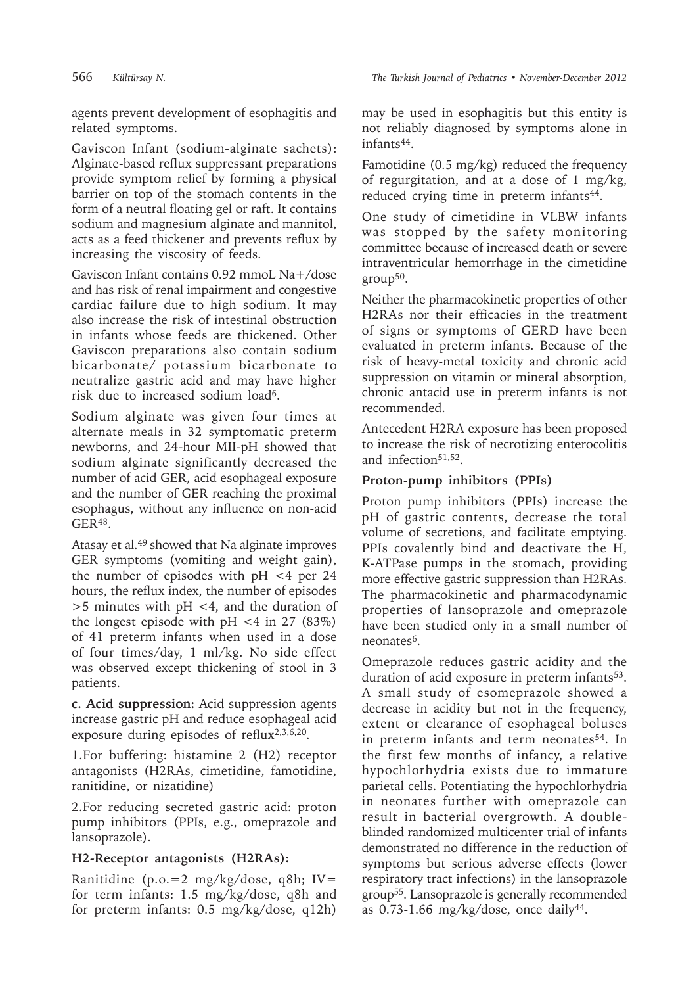agents prevent development of esophagitis and related symptoms.

Gaviscon Infant (sodium-alginate sachets): Alginate-based reflux suppressant preparations provide symptom relief by forming a physical barrier on top of the stomach contents in the form of a neutral floating gel or raft. It contains sodium and magnesium alginate and mannitol, acts as a feed thickener and prevents reflux by increasing the viscosity of feeds.

Gaviscon Infant contains 0.92 mmoL Na+/dose and has risk of renal impairment and congestive cardiac failure due to high sodium. It may also increase the risk of intestinal obstruction in infants whose feeds are thickened. Other Gaviscon preparations also contain sodium bicarbonate/ potassium bicarbonate to neutralize gastric acid and may have higher risk due to increased sodium load<sup>6</sup>.

Sodium alginate was given four times at alternate meals in 32 symptomatic preterm newborns, and 24-hour MII-pH showed that sodium alginate significantly decreased the number of acid GER, acid esophageal exposure and the number of GER reaching the proximal esophagus, without any influence on non-acid GER48.

Atasay et al.49 showed that Na alginate improves GER symptoms (vomiting and weight gain), the number of episodes with pH <4 per 24 hours, the reflux index, the number of episodes >5 minutes with pH <4, and the duration of the longest episode with  $pH < 4$  in 27 (83%) of 41 preterm infants when used in a dose of four times/day, 1 ml/kg. No side effect was observed except thickening of stool in 3 patients.

**c. Acid suppression:** Acid suppression agents increase gastric pH and reduce esophageal acid exposure during episodes of reflux<sup>2,3,6,20</sup>.

1.For buffering: histamine 2 (H2) receptor antagonists (H2RAs, cimetidine, famotidine, ranitidine, or nizatidine)

2.For reducing secreted gastric acid: proton pump inhibitors (PPIs, e.g., omeprazole and lansoprazole).

### **H2-Receptor antagonists (H2RAs):**

Ranitidine (p.o.=2 mg/kg/dose, q8h; IV= for term infants: 1.5 mg/kg/dose, q8h and for preterm infants: 0.5 mg/kg/dose, q12h)

566 *Kültürsay N. The Turkish Journal of Pediatrics • November-December 2012*

may be used in esophagitis but this entity is not reliably diagnosed by symptoms alone in infants44.

Famotidine (0.5 mg/kg) reduced the frequency of regurgitation, and at a dose of 1 mg/kg, reduced crying time in preterm infants<sup>44</sup>.

One study of cimetidine in VLBW infants was stopped by the safety monitoring committee because of increased death or severe intraventricular hemorrhage in the cimetidine group50.

Neither the pharmacokinetic properties of other H2RAs nor their efficacies in the treatment of signs or symptoms of GERD have been evaluated in preterm infants. Because of the risk of heavy-metal toxicity and chronic acid suppression on vitamin or mineral absorption, chronic antacid use in preterm infants is not recommended.

Antecedent H2RA exposure has been proposed to increase the risk of necrotizing enterocolitis and infection<sup>51,52</sup>.

### **Proton-pump inhibitors (PPIs)**

Proton pump inhibitors (PPIs) increase the pH of gastric contents, decrease the total volume of secretions, and facilitate emptying. PPIs covalently bind and deactivate the H, K-ATPase pumps in the stomach, providing more effective gastric suppression than H2RAs. The pharmacokinetic and pharmacodynamic properties of lansoprazole and omeprazole have been studied only in a small number of neonates<sup>6</sup>.

Omeprazole reduces gastric acidity and the duration of acid exposure in preterm infants<sup>53</sup>. A small study of esomeprazole showed a decrease in acidity but not in the frequency, extent or clearance of esophageal boluses in preterm infants and term neonates<sup>54</sup>. In the first few months of infancy, a relative hypochlorhydria exists due to immature parietal cells. Potentiating the hypochlorhydria in neonates further with omeprazole can result in bacterial overgrowth. A doubleblinded randomized multicenter trial of infants demonstrated no difference in the reduction of symptoms but serious adverse effects (lower respiratory tract infections) in the lansoprazole group55. Lansoprazole is generally recommended as  $0.73$ -1.66 mg/kg/dose, once daily<sup>44</sup>.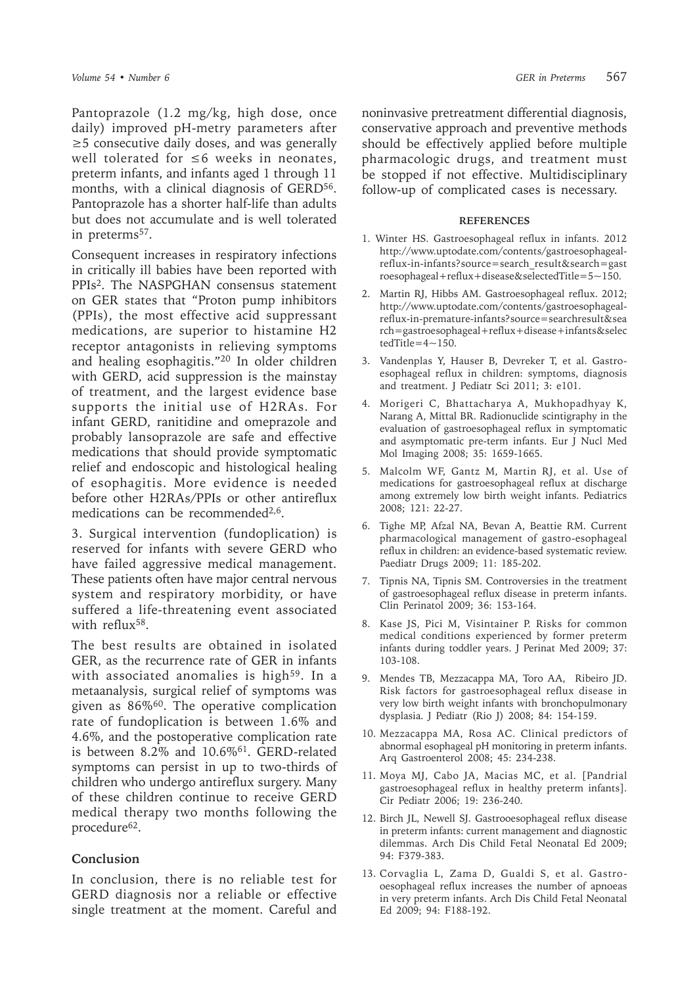Pantoprazole (1.2 mg/kg, high dose, once daily) improved pH-metry parameters after ≥5 consecutive daily doses, and was generally well tolerated for ≤6 weeks in neonates, preterm infants, and infants aged 1 through 11 months, with a clinical diagnosis of GERD<sup>56</sup>. Pantoprazole has a shorter half-life than adults but does not accumulate and is well tolerated in preterms<sup>57</sup>.

Consequent increases in respiratory infections in critically ill babies have been reported with PPIs2. The NASPGHAN consensus statement on GER states that "Proton pump inhibitors (PPIs), the most effective acid suppressant medications, are superior to histamine H2 receptor antagonists in relieving symptoms and healing esophagitis."20 In older children with GERD, acid suppression is the mainstay of treatment, and the largest evidence base supports the initial use of H2RAs. For infant GERD, ranitidine and omeprazole and probably lansoprazole are safe and effective medications that should provide symptomatic relief and endoscopic and histological healing of esophagitis. More evidence is needed before other H2RAs/PPIs or other antireflux medications can be recommended2,6.

3. Surgical intervention (fundoplication) is reserved for infants with severe GERD who have failed aggressive medical management. These patients often have major central nervous system and respiratory morbidity, or have suffered a life-threatening event associated with reflux<sup>58</sup>.

The best results are obtained in isolated GER, as the recurrence rate of GER in infants with associated anomalies is high<sup>59</sup>. In a metaanalysis, surgical relief of symptoms was given as 86%60. The operative complication rate of fundoplication is between 1.6% and 4.6%, and the postoperative complication rate is between 8.2% and 10.6%<sup>61</sup>. GERD-related symptoms can persist in up to two-thirds of children who undergo antireflux surgery. Many of these children continue to receive GERD medical therapy two months following the procedure<sup>62</sup>.

#### **Conclusion**

In conclusion, there is no reliable test for GERD diagnosis nor a reliable or effective single treatment at the moment. Careful and

noninvasive pretreatment differential diagnosis, conservative approach and preventive methods should be effectively applied before multiple pharmacologic drugs, and treatment must be stopped if not effective. Multidisciplinary follow-up of complicated cases is necessary.

#### **REFERENCES**

- 1. Winter HS. Gastroesophageal reflux in infants. 2012 http://www.uptodate.com/contents/gastroesophagealreflux-in-infants?source=search\_result&search=gast roesophageal+reflux+disease&selectedTitle= $5~150$ .
- 2. Martin RJ, Hibbs AM. Gastroesophageal reflux. 2012; http://www.uptodate.com/contents/gastroesophagealreflux-in-premature-infants?source=searchresult&sea rch=gastroesophageal+reflux+disease+infants&selec  $tedTitle=4~150.$
- 3. Vandenplas Y, Hauser B, Devreker T, et al. Gastroesophageal reflux in children: symptoms, diagnosis and treatment. J Pediatr Sci 2011; 3: e101.
- 4. Morigeri C, Bhattacharya A, Mukhopadhyay K, Narang A, Mittal BR. Radionuclide scintigraphy in the evaluation of gastroesophageal reflux in symptomatic and asymptomatic pre-term infants. Eur J Nucl Med Mol Imaging 2008; 35: 1659-1665.
- 5. Malcolm WF, Gantz M, Martin RJ, et al. Use of medications for gastroesophageal reflux at discharge among extremely low birth weight infants. Pediatrics 2008; 121: 22-27.
- 6. Tighe MP, Afzal NA, Bevan A, Beattie RM. Current pharmacological management of gastro-esophageal reflux in children: an evidence-based systematic review. Paediatr Drugs 2009; 11: 185-202.
- 7. Tipnis NA, Tipnis SM. Controversies in the treatment of gastroesophageal reflux disease in preterm infants. Clin Perinatol 2009; 36: 153-164.
- 8. Kase JS, Pici M, Visintainer P. Risks for common medical conditions experienced by former preterm infants during toddler years. J Perinat Med 2009; 37: 103-108.
- 9. Mendes TB, Mezzacappa MA, Toro AA, Ribeiro JD. Risk factors for gastroesophageal reflux disease in very low birth weight infants with bronchopulmonary dysplasia. J Pediatr (Rio J) 2008; 84: 154-159.
- 10. Mezzacappa MA, Rosa AC. Clinical predictors of abnormal esophageal pH monitoring in preterm infants. Arq Gastroenterol 2008; 45: 234-238.
- 11. Moya MJ, Cabo JA, Macias MC, et al. [Pandrial gastroesophageal reflux in healthy preterm infants]. Cir Pediatr 2006; 19: 236-240.
- 12. Birch JL, Newell SJ. Gastrooesophageal reflux disease in preterm infants: current management and diagnostic dilemmas. Arch Dis Child Fetal Neonatal Ed 2009; 94: F379-383.
- 13. Corvaglia L, Zama D, Gualdi S, et al. Gastrooesophageal reflux increases the number of apnoeas in very preterm infants. Arch Dis Child Fetal Neonatal Ed 2009; 94: F188-192.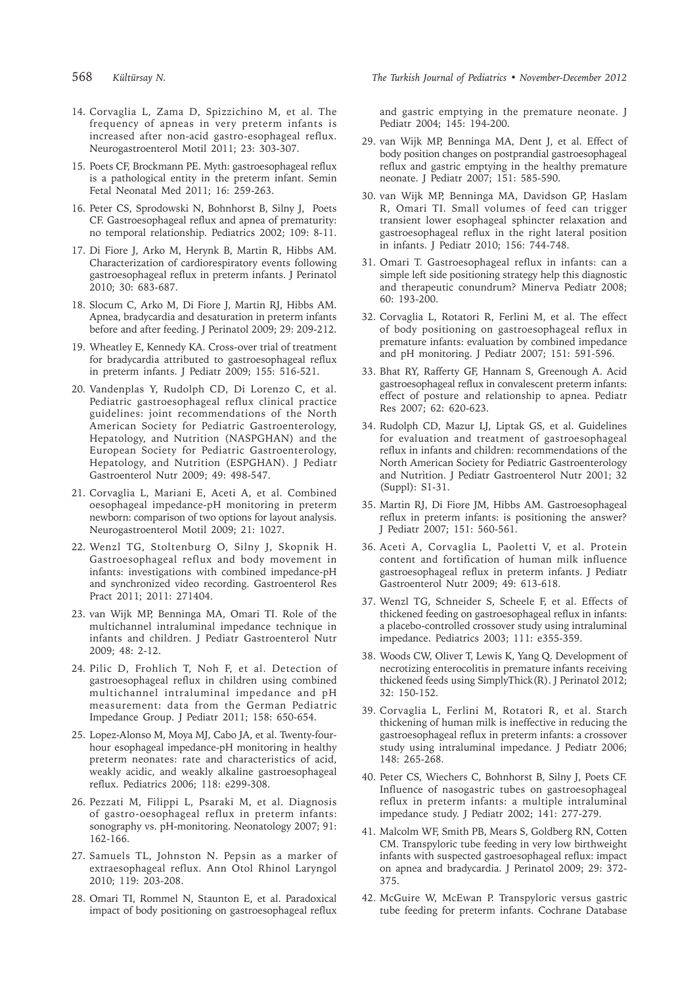- 14. Corvaglia L, Zama D, Spizzichino M, et al. The frequency of apneas in very preterm infants is increased after non-acid gastro-esophageal reflux. Neurogastroenterol Motil 2011; 23: 303-307.
- 15. Poets CF, Brockmann PE. Myth: gastroesophageal reflux is a pathological entity in the preterm infant. Semin Fetal Neonatal Med 2011; 16: 259-263.
- 16. Peter CS, Sprodowski N, Bohnhorst B, Silny J, Poets CF. Gastroesophageal reflux and apnea of prematurity: no temporal relationship. Pediatrics 2002; 109: 8-11.
- 17. Di Fiore J, Arko M, Herynk B, Martin R, Hibbs AM. Characterization of cardiorespiratory events following gastroesophageal reflux in preterm infants. J Perinatol 2010; 30: 683-687.
- 18. Slocum C, Arko M, Di Fiore J, Martin RJ, Hibbs AM. Apnea, bradycardia and desaturation in preterm infants before and after feeding. J Perinatol 2009; 29: 209-212.
- 19. Wheatley E, Kennedy KA. Cross-over trial of treatment for bradycardia attributed to gastroesophageal reflux in preterm infants. J Pediatr 2009; 155: 516-521.
- 20. Vandenplas Y, Rudolph CD, Di Lorenzo C, et al. Pediatric gastroesophageal reflux clinical practice guidelines: joint recommendations of the North American Society for Pediatric Gastroenterology, Hepatology, and Nutrition (NASPGHAN) and the European Society for Pediatric Gastroenterology, Hepatology, and Nutrition (ESPGHAN). J Pediatr Gastroenterol Nutr 2009; 49: 498-547.
- 21. Corvaglia L, Mariani E, Aceti A, et al. Combined oesophageal impedance-pH monitoring in preterm newborn: comparison of two options for layout analysis. Neurogastroenterol Motil 2009; 21: 1027.
- 22. Wenzl TG, Stoltenburg O, Silny J, Skopnik H. Gastroesophageal reflux and body movement in infants: investigations with combined impedance-pH and synchronized video recording. Gastroenterol Res Pract 2011; 2011: 271404.
- 23. van Wijk MP, Benninga MA, Omari TI. Role of the multichannel intraluminal impedance technique in infants and children. J Pediatr Gastroenterol Nutr 2009; 48: 2-12.
- 24. Pilic D, Frohlich T, Noh F, et al. Detection of gastroesophageal reflux in children using combined multichannel intraluminal impedance and pH measurement: data from the German Pediatric Impedance Group. J Pediatr 2011; 158: 650-654.
- 25. Lopez-Alonso M, Moya MJ, Cabo JA, et al. Twenty-fourhour esophageal impedance-pH monitoring in healthy preterm neonates: rate and characteristics of acid, weakly acidic, and weakly alkaline gastroesophageal reflux. Pediatrics 2006; 118: e299-308.
- 26. Pezzati M, Filippi L, Psaraki M, et al. Diagnosis of gastro-oesophageal reflux in preterm infants: sonography vs. pH-monitoring. Neonatology 2007; 91: 162-166.
- 27. Samuels TL, Johnston N. Pepsin as a marker of extraesophageal reflux. Ann Otol Rhinol Laryngol 2010; 119: 203-208.
- 28. Omari TI, Rommel N, Staunton E, et al. Paradoxical impact of body positioning on gastroesophageal reflux

and gastric emptying in the premature neonate. J Pediatr 2004; 145: 194-200.

- 29. van Wijk MP, Benninga MA, Dent J, et al. Effect of body position changes on postprandial gastroesophageal reflux and gastric emptying in the healthy premature neonate. J Pediatr 2007; 151: 585-590.
- 30. van Wijk MP, Benninga MA, Davidson GP, Haslam R, Omari TI. Small volumes of feed can trigger transient lower esophageal sphincter relaxation and gastroesophageal reflux in the right lateral position in infants. J Pediatr 2010; 156: 744-748.
- 31. Omari T. Gastroesophageal reflux in infants: can a simple left side positioning strategy help this diagnostic and therapeutic conundrum? Minerva Pediatr 2008; 60: 193-200.
- 32. Corvaglia L, Rotatori R, Ferlini M, et al. The effect of body positioning on gastroesophageal reflux in premature infants: evaluation by combined impedance and pH monitoring. J Pediatr 2007; 151: 591-596.
- 33. Bhat RY, Rafferty GF, Hannam S, Greenough A. Acid gastroesophageal reflux in convalescent preterm infants: effect of posture and relationship to apnea. Pediatr Res 2007; 62: 620-623.
- 34. Rudolph CD, Mazur LJ, Liptak GS, et al. Guidelines for evaluation and treatment of gastroesophageal reflux in infants and children: recommendations of the North American Society for Pediatric Gastroenterology and Nutrition. J Pediatr Gastroenterol Nutr 2001; 32 (Suppl): S1-31.
- 35. Martin RJ, Di Fiore JM, Hibbs AM. Gastroesophageal reflux in preterm infants: is positioning the answer? J Pediatr 2007; 151: 560-561.
- 36. Aceti A, Corvaglia L, Paoletti V, et al. Protein content and fortification of human milk influence gastroesophageal reflux in preterm infants. J Pediatr Gastroenterol Nutr 2009; 49: 613-618.
- 37. Wenzl TG, Schneider S, Scheele F, et al. Effects of thickened feeding on gastroesophageal reflux in infants: a placebo-controlled crossover study using intraluminal impedance. Pediatrics 2003; 111: e355-359.
- 38. Woods CW, Oliver T, Lewis K, Yang Q. Development of necrotizing enterocolitis in premature infants receiving thickened feeds using SimplyThick(R). J Perinatol 2012; 32: 150-152.
- 39. Corvaglia L, Ferlini M, Rotatori R, et al. Starch thickening of human milk is ineffective in reducing the gastroesophageal reflux in preterm infants: a crossover study using intraluminal impedance. J Pediatr 2006; 148: 265-268.
- 40. Peter CS, Wiechers C, Bohnhorst B, Silny J, Poets CF. Influence of nasogastric tubes on gastroesophageal reflux in preterm infants: a multiple intraluminal impedance study. J Pediatr 2002; 141: 277-279.
- 41. Malcolm WF, Smith PB, Mears S, Goldberg RN, Cotten CM. Transpyloric tube feeding in very low birthweight infants with suspected gastroesophageal reflux: impact on apnea and bradycardia. J Perinatol 2009; 29: 372- 375.
- 42. McGuire W, McEwan P. Transpyloric versus gastric tube feeding for preterm infants. Cochrane Database